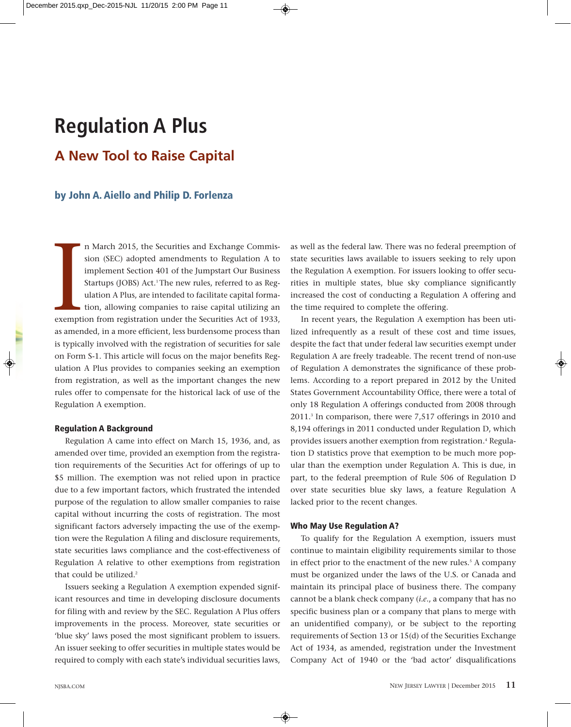# **Regulation A Plus**

# **A New Tool to Raise Capital**

# **by John A. Aiello and Philip D. Forlenza**

Exemption n March 2015, the Securities and Exchange Commission (SEC) adopted amendments to Regulation A to implement Section 401 of the Jumpstart Our Business Startups (JOBS) Act.<sup>1</sup> The new rules, referred to as Regulation A Plus, are intended to facilitate capital formation, allowing companies to raise capital utilizing an exemption from registration under the Securities Act of 1933, as amended, in a more efficient, less burdensome process than is typically involved with the registration of securities for sale on Form S-1. This article will focus on the major benefits Regulation A Plus provides to companies seeking an exemption from registration, as well as the important changes the new rules offer to compensate for the historical lack of use of the Regulation A exemption.

#### **Regulation A Background**

Regulation A came into effect on March 15, 1936, and, as amended over time, provided an exemption from the registration requirements of the Securities Act for offerings of up to \$5 million. The exemption was not relied upon in practice due to a few important factors, which frustrated the intended purpose of the regulation to allow smaller companies to raise capital without incurring the costs of registration. The most significant factors adversely impacting the use of the exemption were the Regulation A filing and disclosure requirements, state securities laws compliance and the cost-effectiveness of Regulation A relative to other exemptions from registration that could be utilized.<sup>2</sup>

Issuers seeking a Regulation A exemption expended significant resources and time in developing disclosure documents for filing with and review by the SEC. Regulation A Plus offers improvements in the process. Moreover, state securities or 'blue sky' laws posed the most significant problem to issuers. An issuer seeking to offer securities in multiple states would be required to comply with each state's individual securities laws,

as well as the federal law. There was no federal preemption of state securities laws available to issuers seeking to rely upon the Regulation A exemption. For issuers looking to offer securities in multiple states, blue sky compliance significantly increased the cost of conducting a Regulation A offering and the time required to complete the offering.

In recent years, the Regulation A exemption has been utilized infrequently as a result of these cost and time issues, despite the fact that under federal law securities exempt under Regulation A are freely tradeable. The recent trend of non-use of Regulation A demonstrates the significance of these problems. According to a report prepared in 2012 by the United States Government Accountability Office, there were a total of only 18 Regulation A offerings conducted from 2008 through 2011.3 In comparison, there were 7,517 offerings in 2010 and 8,194 offerings in 2011 conducted under Regulation D, which provides issuers another exemption from registration.<sup>4</sup> Regulation D statistics prove that exemption to be much more popular than the exemption under Regulation A. This is due, in part, to the federal preemption of Rule 506 of Regulation D over state securities blue sky laws, a feature Regulation A lacked prior to the recent changes.

### **Who May Use Regulation A?**

◈

To qualify for the Regulation A exemption, issuers must continue to maintain eligibility requirements similar to those in effect prior to the enactment of the new rules.<sup>5</sup> A company must be organized under the laws of the U.S. or Canada and maintain its principal place of business there. The company cannot be a blank check company (*i.e*., a company that has no specific business plan or a company that plans to merge with an unidentified company), or be subject to the reporting requirements of Section 13 or 15(d) of the Securities Exchange Act of 1934, as amended, registration under the Investment Company Act of 1940 or the 'bad actor' disqualifications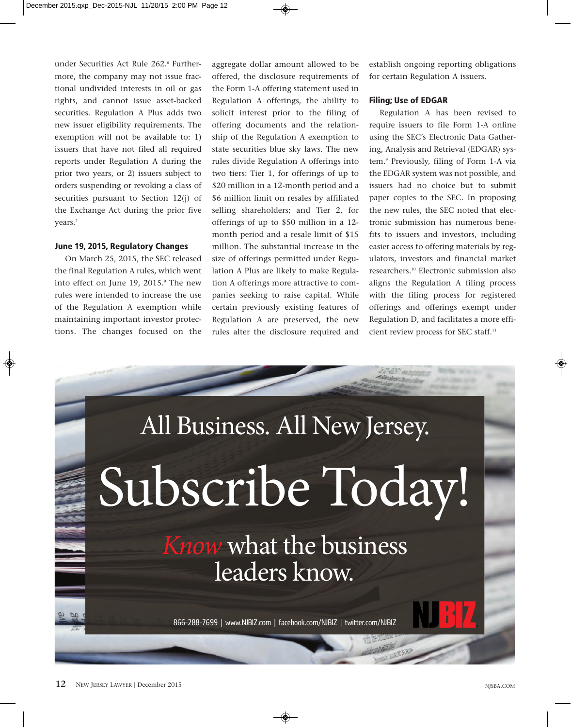under Securities Act Rule 262.6 Furthermore, the company may not issue fractional undivided interests in oil or gas rights, and cannot issue asset-backed securities. Regulation A Plus adds two new issuer eligibility requirements. The exemption will not be available to: 1) issuers that have not filed all required reports under Regulation A during the prior two years, or 2) issuers subject to orders suspending or revoking a class of securities pursuant to Section 12(j) of the Exchange Act during the prior five years.<sup>7</sup>

## **June 19, 2015, Regulatory Changes**

On March 25, 2015, the SEC released the final Regulation A rules, which went into effect on June 19, 2015.<sup>9</sup> The new rules were intended to increase the use of the Regulation A exemption while maintaining important investor protections. The changes focused on the

aggregate dollar amount allowed to be offered, the disclosure requirements of the Form 1-A offering statement used in Regulation A offerings, the ability to solicit interest prior to the filing of offering documents and the relationship of the Regulation A exemption to state securities blue sky laws. The new rules divide Regulation A offerings into two tiers: Tier 1, for offerings of up to \$20 million in a 12-month period and a \$6 million limit on resales by affiliated selling shareholders; and Tier 2, for offerings of up to \$50 million in a 12 month period and a resale limit of \$15 million. The substantial increase in the size of offerings permitted under Regulation A Plus are likely to make Regulation A offerings more attractive to companies seeking to raise capital. While certain previously existing features of Regulation A are preserved, the new rules alter the disclosure required and establish ongoing reporting obligations for certain Regulation A issuers.

#### **Filing; Use of EDGAR**

Regulation A has been revised to require issuers to file Form 1-A online using the SEC's Electronic Data Gathering, Analysis and Retrieval (EDGAR) system.9 Previously, filing of Form 1-A via the EDGAR system was not possible, and issuers had no choice but to submit paper copies to the SEC. In proposing the new rules, the SEC noted that electronic submission has numerous benefits to issuers and investors, including easier access to offering materials by regulators, investors and financial market researchers.10 Electronic submission also aligns the Regulation A filing process with the filing process for registered offerings and offerings exempt under Regulation D, and facilitates a more efficient review process for SEC staff.11

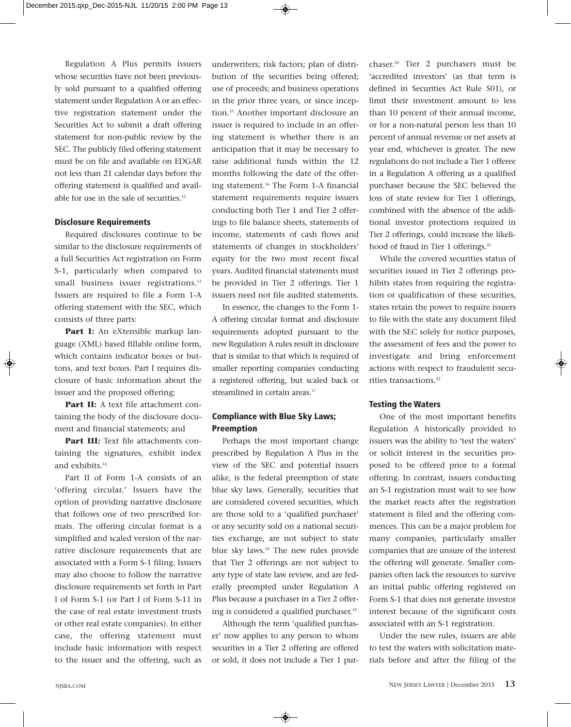Regulation A Plus permits issuers whose securities have not been previously sold pursuant to a qualified offering statement under Regulation A or an effective registration statement under the Securities Act to submit a draft offering statement for non-public review by the SEC. The publicly filed offering statement must be on file and available on EDGAR not less than 21 calendar days before the offering statement is qualified and available for use in the sale of securities.<sup>12</sup>

#### **Disclosure Requirements**

Required disclosures continue to be similar to the disclosure requirements of a full Securities Act registration on Form S-1, particularly when compared to small business issuer registrations.<sup>13</sup> Issuers are required to file a Form 1-A offering statement with the SEC, which consists of three parts:

Part I: An eXtensible markup language (XML) based fillable online form, which contains indicator boxes or buttons, and text boxes. Part I requires disclosure of basic information about the issuer and the proposed offering;

Part II: A text file attachment containing the body of the disclosure document and financial statements; and

**Part III:** Text file attachments containing the signatures, exhibit index and exhibits.<sup>14</sup>

Part II of Form 1-A consists of an 'offering circular.' Issuers have the option of providing narrative disclosure that follows one of two prescribed formats. The offering circular format is a simplified and scaled version of the narrative disclosure requirements that are associated with a Form S-1 filing. Issuers may also choose to follow the narrative disclosure requirements set forth in Part I of Form S-1 (or Part I of Form S-11 in the case of real estate investment trusts or other real estate companies). In either case, the offering statement must include basic information with respect to the issuer and the offering, such as

underwriters; risk factors; plan of distribution of the securities being offered; use of proceeds; and business operations in the prior three years, or since inception.15 Another important disclosure an issuer is required to include in an offering statement is whether there is an anticipation that it may be necessary to raise additional funds within the 12 months following the date of the offering statement.16 The Form 1-A financial statement requirements require issuers conducting both Tier 1 and Tier 2 offerings to file balance sheets, statements of income, statements of cash flows and statements of changes in stockholders' equity for the two most recent fiscal years. Audited financial statements must be provided in Tier 2 offerings. Tier 1 issuers need not file audited statements.

In essence, the changes to the Form 1- A offering circular format and disclosure requirements adopted pursuant to the new Regulation A rules result in disclosure that is similar to that which is required of smaller reporting companies conducting a registered offering, but scaled back or streamlined in certain areas.<sup>17</sup>

## **Compliance with Blue Sky Laws; Preemption**

Perhaps the most important change prescribed by Regulation A Plus in the view of the SEC and potential issuers alike, is the federal preemption of state blue sky laws. Generally, securities that are considered covered securities, which are those sold to a 'qualified purchaser' or any security sold on a national securities exchange, are not subject to state blue sky laws.18 The new rules provide that Tier 2 offerings are not subject to any type of state law review, and are federally preempted under Regulation A Plus because a purchaser in a Tier 2 offering is considered a qualified purchaser.<sup>19</sup>

Although the term 'qualified purchaser' now applies to any person to whom securities in a Tier 2 offering are offered or sold, it does not include a Tier 1 pur-

◈

chaser.20 Tier 2 purchasers must be 'accredited investors' (as that term is defined in Securities Act Rule 501), or limit their investment amount to less than 10 percent of their annual income, or for a non-natural person less than 10 percent of annual revenue or net assets at year end, whichever is greater. The new regulations do not include a Tier 1 offeree in a Regulation A offering as a qualified purchaser because the SEC believed the loss of state review for Tier 1 offerings, combined with the absence of the additional investor protections required in Tier 2 offerings, could increase the likelihood of fraud in Tier 1 offerings.<sup>21</sup>

While the covered securities status of securities issued in Tier 2 offerings prohibits states from requiring the registration or qualification of these securities, states retain the power to require issuers to file with the state any document filed with the SEC solely for notice purposes, the assessment of fees and the power to investigate and bring enforcement actions with respect to fraudulent securities transactions.<sup>22</sup>

#### **Testing the Waters**

One of the most important benefits Regulation A historically provided to issuers was the ability to 'test the waters' or solicit interest in the securities proposed to be offered prior to a formal offering. In contrast, issuers conducting an S-1 registration must wait to see how the market reacts after the registration statement is filed and the offering commences. This can be a major problem for many companies, particularly smaller companies that are unsure of the interest the offering will generate. Smaller companies often lack the resources to survive an initial public offering registered on Form S-1 that does not generate investor interest because of the significant costs associated with an S-1 registration.

Under the new rules, issuers are able to test the waters with solicitation materials before and after the filing of the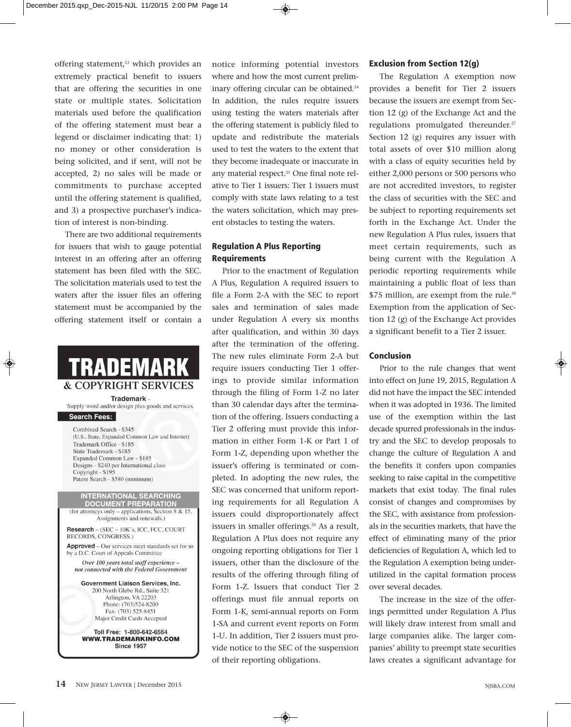offering statement,<sup>23</sup> which provides an extremely practical benefit to issuers that are offering the securities in one state or multiple states. Solicitation materials used before the qualification of the offering statement must bear a legend or disclaimer indicating that: 1) no money or other consideration is being solicited, and if sent, will not be accepted, 2) no sales will be made or commitments to purchase accepted until the offering statement is qualified, and 3) a prospective purchaser's indication of interest is non-binding.

There are two additional requirements for issuers that wish to gauge potential interest in an offering after an offering statement has been filed with the SEC. The solicitation materials used to test the waters after the issuer files an offering statement must be accompanied by the offering statement itself or contain a

# TRADEMAR **& COPYRIGHT SERVICES**

Trademark -Supply word and/or design plus goods and services.

Search Fees:

Combined Search - \$345 (U.S., State, Expanded Common Law and Internet) Trademark Office - \$185 State Trademark - \$185 Expanded Common Law - \$185 Designs - \$240 per International class Copyright - \$195 Patent Search - \$580 (minimum)

**INTERNATIONAL SEARCHING DOCUMENT PREPARATION** (for attorneys only – applications, Section 8 & 15, Assignments and renewals.)

Research - (SEC - 10K's, ICC, FCC, COURT RECORDS, CONGRESS.) **Approved** – Our services meet standards set for us

by a D.C. Court of Appeals Committee Over 100 years total staff experience not connected with the Federal Government

> Government Liaison Services, Inc. 200 North Glebe Rd., Suite 321 Arlington, VA 22203 Phone: (703)524-8200 Fax: (703) 525-8451 Major Credit Cards Accepted

Toll Free: 1-800-642-6564 **WWW.TRADEMARKINFO.COM Since 1957** 

notice informing potential investors where and how the most current preliminary offering circular can be obtained.<sup>24</sup> In addition, the rules require issuers using testing the waters materials after the offering statement is publicly filed to update and redistribute the materials used to test the waters to the extent that they become inadequate or inaccurate in any material respect.<sup>25</sup> One final note relative to Tier 1 issuers: Tier 1 issuers must comply with state laws relating to a test the waters solicitation, which may present obstacles to testing the waters.

# **Regulation A Plus Reporting Requirements**

Prior to the enactment of Regulation A Plus, Regulation A required issuers to file a Form 2-A with the SEC to report sales and termination of sales made under Regulation A every six months after qualification, and within 30 days after the termination of the offering. The new rules eliminate Form 2-A but require issuers conducting Tier 1 offerings to provide similar information through the filing of Form 1-Z no later than 30 calendar days after the termination of the offering. Issuers conducting a Tier 2 offering must provide this information in either Form 1-K or Part 1 of Form 1-Z, depending upon whether the issuer's offering is terminated or completed. In adopting the new rules, the SEC was concerned that uniform reporting requirements for all Regulation A issuers could disproportionately affect issuers in smaller offerings.<sup>26</sup> As a result, Regulation A Plus does not require any ongoing reporting obligations for Tier 1 issuers, other than the disclosure of the results of the offering through filing of Form 1-Z. Issuers that conduct Tier 2 offerings must file annual reports on Form 1-K, semi-annual reports on Form 1-SA and current event reports on Form 1-U. In addition, Tier 2 issuers must provide notice to the SEC of the suspension of their reporting obligations.

◈

#### **Exclusion from Section 12(g)**

The Regulation A exemption now provides a benefit for Tier 2 issuers because the issuers are exempt from Section 12 (g) of the Exchange Act and the regulations promulgated thereunder.<sup>27</sup> Section 12 (g) requires any issuer with total assets of over \$10 million along with a class of equity securities held by either 2,000 persons or 500 persons who are not accredited investors, to register the class of securities with the SEC and be subject to reporting requirements set forth in the Exchange Act. Under the new Regulation A Plus rules, issuers that meet certain requirements, such as being current with the Regulation A periodic reporting requirements while maintaining a public float of less than \$75 million, are exempt from the rule.<sup>28</sup> Exemption from the application of Section 12 (g) of the Exchange Act provides a significant benefit to a Tier 2 issuer.

#### **Conclusion**

Prior to the rule changes that went into effect on June 19, 2015, Regulation A did not have the impact the SEC intended when it was adopted in 1936. The limited use of the exemption within the last decade spurred professionals in the industry and the SEC to develop proposals to change the culture of Regulation A and the benefits it confers upon companies seeking to raise capital in the competitive markets that exist today. The final rules consist of changes and compromises by the SEC, with assistance from professionals in the securities markets, that have the effect of eliminating many of the prior deficiencies of Regulation A, which led to the Regulation A exemption being underutilized in the capital formation process over several decades.

The increase in the size of the offerings permitted under Regulation A Plus will likely draw interest from small and large companies alike. The larger companies' ability to preempt state securities laws creates a significant advantage for